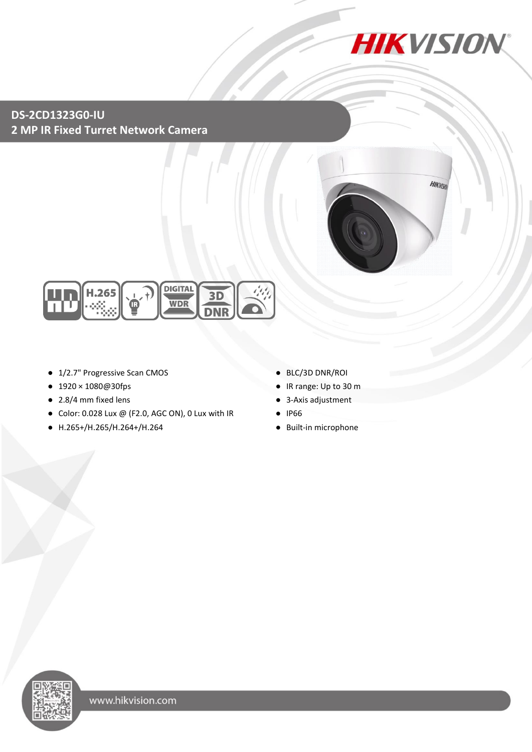

## **DS-2CD1323G0-IU 2 MP IR Fixed Turret Network Camera**





- 1/2.7" Progressive Scan CMOS
- 1920×1080@30fps
- 2.8/4 mm fixed lens
- Color: 0.028 Lux @ (F2.0, AGC ON), 0 Lux with IR
- H.265+/H.265/H.264+/H.264
- BLC/3D DNR/ROI
- IR range: Up to 30 m
- 3-Axis adjustment
- IP66
- Built-in microphone

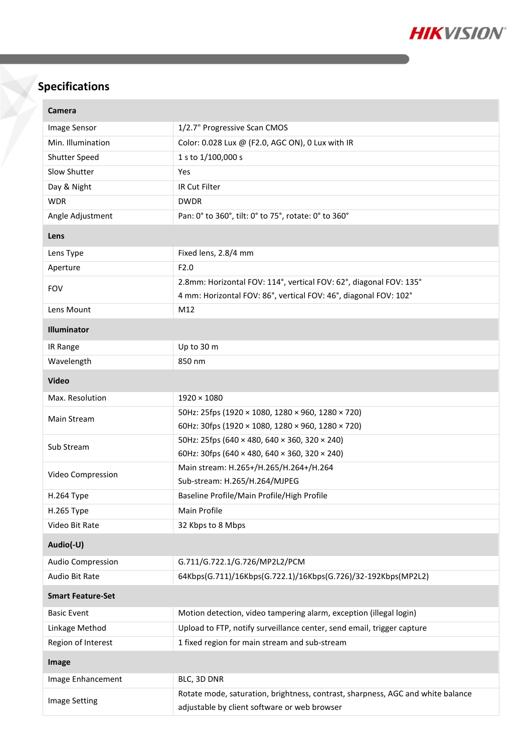

# **Specifications**

| Camera                   |                                                                                                                                 |  |
|--------------------------|---------------------------------------------------------------------------------------------------------------------------------|--|
| Image Sensor             | 1/2.7" Progressive Scan CMOS                                                                                                    |  |
| Min. Illumination        | Color: 0.028 Lux @ (F2.0, AGC ON), 0 Lux with IR                                                                                |  |
| Shutter Speed            | 1 s to 1/100,000 s                                                                                                              |  |
| Slow Shutter             | Yes                                                                                                                             |  |
| Day & Night              | IR Cut Filter                                                                                                                   |  |
| <b>WDR</b>               | <b>DWDR</b>                                                                                                                     |  |
| Angle Adjustment         | Pan: 0° to 360°, tilt: 0° to 75°, rotate: 0° to 360°                                                                            |  |
| Lens                     |                                                                                                                                 |  |
| Lens Type                | Fixed lens, 2.8/4 mm                                                                                                            |  |
| Aperture                 | F2.0                                                                                                                            |  |
| <b>FOV</b>               | 2.8mm: Horizontal FOV: 114°, vertical FOV: 62°, diagonal FOV: 135°                                                              |  |
|                          | 4 mm: Horizontal FOV: 86°, vertical FOV: 46°, diagonal FOV: 102°                                                                |  |
| Lens Mount               | M12                                                                                                                             |  |
| Illuminator              |                                                                                                                                 |  |
| IR Range                 | Up to 30 m                                                                                                                      |  |
| Wavelength               | 850 nm                                                                                                                          |  |
| <b>Video</b>             |                                                                                                                                 |  |
| Max. Resolution          | $1920 \times 1080$                                                                                                              |  |
| Main Stream              | 50Hz: 25fps (1920 × 1080, 1280 × 960, 1280 × 720)                                                                               |  |
|                          | 60Hz: 30fps (1920 × 1080, 1280 × 960, 1280 × 720)                                                                               |  |
| Sub Stream               | 50Hz: 25fps (640 × 480, 640 × 360, 320 × 240)                                                                                   |  |
|                          | 60Hz: 30fps (640 × 480, 640 × 360, 320 × 240)                                                                                   |  |
| Video Compression        | Main stream: H.265+/H.265/H.264+/H.264                                                                                          |  |
|                          | Sub-stream: H.265/H.264/MJPEG                                                                                                   |  |
| H.264 Type               | Baseline Profile/Main Profile/High Profile                                                                                      |  |
| H.265 Type               | Main Profile                                                                                                                    |  |
| Video Bit Rate           | 32 Kbps to 8 Mbps                                                                                                               |  |
| Audio(-U)                |                                                                                                                                 |  |
| Audio Compression        | G.711/G.722.1/G.726/MP2L2/PCM                                                                                                   |  |
| Audio Bit Rate           | 64Kbps(G.711)/16Kbps(G.722.1)/16Kbps(G.726)/32-192Kbps(MP2L2)                                                                   |  |
| <b>Smart Feature-Set</b> |                                                                                                                                 |  |
| <b>Basic Event</b>       | Motion detection, video tampering alarm, exception (illegal login)                                                              |  |
| Linkage Method           | Upload to FTP, notify surveillance center, send email, trigger capture                                                          |  |
| Region of Interest       | 1 fixed region for main stream and sub-stream                                                                                   |  |
| Image                    |                                                                                                                                 |  |
| Image Enhancement        | BLC, 3D DNR                                                                                                                     |  |
| <b>Image Setting</b>     | Rotate mode, saturation, brightness, contrast, sharpness, AGC and white balance<br>adjustable by client software or web browser |  |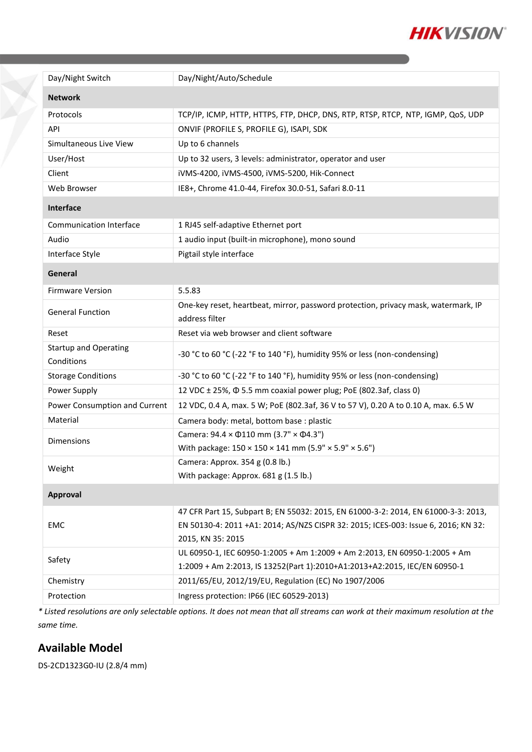

| Day/Night Switch                           | Day/Night/Auto/Schedule                                                                                                           |
|--------------------------------------------|-----------------------------------------------------------------------------------------------------------------------------------|
| <b>Network</b>                             |                                                                                                                                   |
| Protocols                                  | TCP/IP, ICMP, HTTP, HTTPS, FTP, DHCP, DNS, RTP, RTSP, RTCP, NTP, IGMP, QoS, UDP                                                   |
| API                                        | ONVIF (PROFILE S, PROFILE G), ISAPI, SDK                                                                                          |
| Simultaneous Live View                     | Up to 6 channels                                                                                                                  |
| User/Host                                  | Up to 32 users, 3 levels: administrator, operator and user                                                                        |
| Client                                     | iVMS-4200, iVMS-4500, iVMS-5200, Hik-Connect                                                                                      |
| Web Browser                                | IE8+, Chrome 41.0-44, Firefox 30.0-51, Safari 8.0-11                                                                              |
| Interface                                  |                                                                                                                                   |
| <b>Communication Interface</b>             | 1 RJ45 self-adaptive Ethernet port                                                                                                |
| Audio                                      | 1 audio input (built-in microphone), mono sound                                                                                   |
| Interface Style                            | Pigtail style interface                                                                                                           |
| General                                    |                                                                                                                                   |
| <b>Firmware Version</b>                    | 5.5.83                                                                                                                            |
| <b>General Function</b>                    | One-key reset, heartbeat, mirror, password protection, privacy mask, watermark, IP<br>address filter                              |
| Reset                                      | Reset via web browser and client software                                                                                         |
| <b>Startup and Operating</b><br>Conditions | -30 °C to 60 °C (-22 °F to 140 °F), humidity 95% or less (non-condensing)                                                         |
| <b>Storage Conditions</b>                  | -30 °C to 60 °C (-22 °F to 140 °F), humidity 95% or less (non-condensing)                                                         |
| Power Supply                               | 12 VDC ± 25%, $\Phi$ 5.5 mm coaxial power plug; PoE (802.3af, class 0)                                                            |
| Power Consumption and Current              | 12 VDC, 0.4 A, max. 5 W; PoE (802.3af, 36 V to 57 V), 0.20 A to 0.10 A, max. 6.5 W                                                |
| Material                                   | Camera body: metal, bottom base : plastic                                                                                         |
| <b>Dimensions</b>                          | Camera: $94.4 \times 0110$ mm (3.7" $\times$ 04.3")                                                                               |
|                                            | With package: 150 × 150 × 141 mm (5.9" × 5.9" × 5.6")                                                                             |
| Weight                                     | Camera: Approx. 354 g (0.8 lb.)                                                                                                   |
|                                            | With package: Approx. 681 g (1.5 lb.)                                                                                             |
| Approval                                   |                                                                                                                                   |
| <b>EMC</b>                                 | 47 CFR Part 15, Subpart B; EN 55032: 2015, EN 61000-3-2: 2014, EN 61000-3-3: 2013,                                                |
|                                            | EN 50130-4: 2011 +A1: 2014; AS/NZS CISPR 32: 2015; ICES-003: Issue 6, 2016; KN 32:                                                |
|                                            | 2015, KN 35: 2015                                                                                                                 |
| Safety                                     | UL 60950-1, IEC 60950-1:2005 + Am 1:2009 + Am 2:2013, EN 60950-1:2005 + Am                                                        |
|                                            | 1:2009 + Am 2:2013, IS 13252(Part 1):2010+A1:2013+A2:2015, IEC/EN 60950-1<br>2011/65/EU, 2012/19/EU, Regulation (EC) No 1907/2006 |
| Chemistry                                  |                                                                                                                                   |
| Protection                                 | Ingress protection: IP66 (IEC 60529-2013)                                                                                         |

*\* Listed resolutions are only selectable options. It does not mean that all streams can work at their maximum resolution at the same time.*

#### **Available Model**

 $\sum_{i=1}^{n}$ 

DS-2CD1323G0-IU (2.8/4 mm)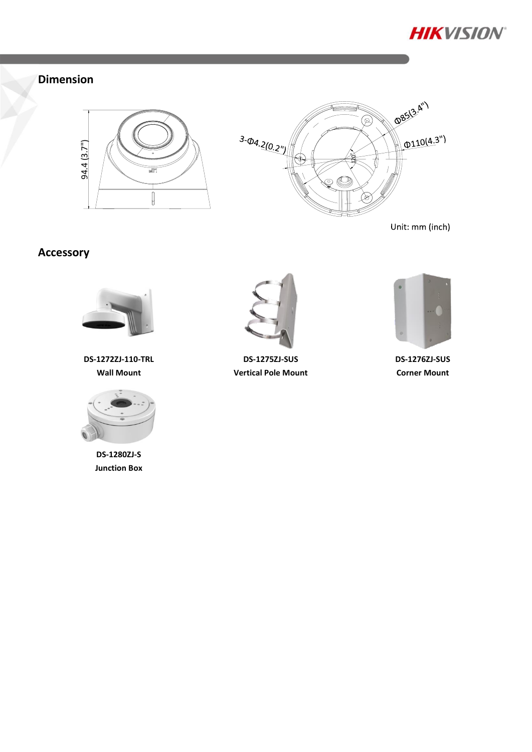

## **Dimension**





Unit: mm (inch)

## **Accessory**



**DS-1272ZJ-110-TRL Wall Mount**



**DS-1280ZJ-S Junction Box**



**DS-1275ZJ-SUS Vertical Pole Mount**



**DS-1276ZJ-SUS Corner Mount**